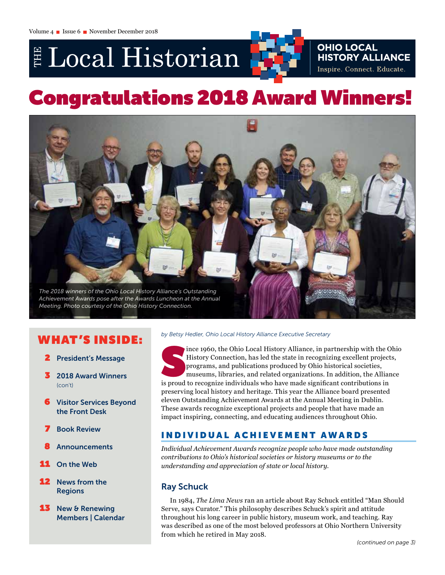# E Local Historian



# Congratulations 2018 Award Winners!



# W HAT 'S INSIDE:

- **President's Message**
- 3 2018 Award Winners (con't)
- **6** Visitor Services Beyond the Front Desk
- **7** Book Review
- **Announcements**
- **On the Web**
- News from the Regions
- **13** New & Renewing Members | Calendar

### *by Betsy Hedler, Ohio Local History Alliance Executive Secretary*

ince 1960, the Ohio Local History Alliance, in partnership with the C<br>History Connection, has led the state in recognizing excellent project<br>programs, and publications produced by Ohio historical societies,<br>museums, librar ince 1960, the Ohio Local History Alliance, in partnership with the Ohio History Connection, has led the state in recognizing excellent projects, programs, and publications produced by Ohio historical societies, museums, libraries, and related organizations. In addition, the Alliance preserving local history and heritage. This year the Alliance board presented eleven Outstanding Achievement Awards at the Annual Meeting in Dublin. These awards recognize exceptional projects and people that have made an impact inspiring, connecting, and educating audiences throughout Ohio.

# INDIVIDUAL ACHIEVEMENT AWARDS

*Individual Achievement Awards recognize people who have made outstanding contributions to Ohio's historical societies or history museums or to the understanding and appreciation of state or local history.*

# Ray Schuck

In 1984, *The Lima News* ran an article about Ray Schuck entitled "Man Should Serve, says Curator." This philosophy describes Schuck's spirit and attitude throughout his long career in public history, museum work, and teaching. Ray was described as one of the most beloved professors at Ohio Northern University from which he retired in May 2018.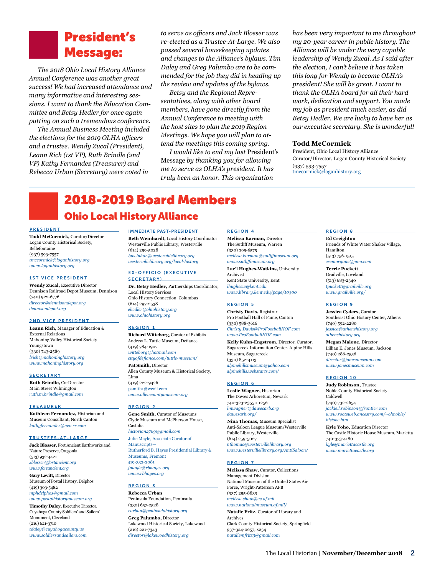# President's Message:

*The 2018 Ohio Local History Alliance Annual Conference was another great success! We had increased attendance and many informative and interesting sessions. I want to thank the Education Committee and Betsy Hedler for once again putting on such a tremendous conference.*

*The Annual Business Meeting included the elections for the 2019 OLHA officers and a trustee. Wendy Zucal (President), Leann Rich (1st VP), Ruth Brindle (2nd VP) Kathy Fernandez (Treasurer) and Rebecca Urban (Secretary) were voted in* 

*to serve as officers and Jack Blosser was re-elected as a Trustee-At-Large. We also passed several housekeeping updates and changes to the Alliance's bylaws. Tim Daley and Greg Palumbo are to be commended for the job they did in heading up the review and updates of the bylaws.*

*Betsy and the Regional Representatives, along with other board members, have gone directly from the Annual Conference to meeting with the host sites to plan the 2019 Region Meetings. We hope you will plan to attend the meetings this coming spring.* 

*I would like to end my last* President's Message *by thanking you for allowing me to serve as OLHA's president. It has truly been an honor. This organization* 

*has been very important to me throughout my 20-year career in public history. The Alliance will be under the very capable leadership of Wendy Zucal. As I said after the election, I can't believe it has taken this long for Wendy to become OLHA's president! She will be great. I want to thank the OLHA board for all their hard work, dedication and support. You made my job as president much easier, as did Betsy Hedler. We are lucky to have her as our executive secretary. She is wonderful!*

#### **Todd McCormick**

President, Ohio Local History Alliance Curator/Director, Logan County Historical Society (937) 593-7557 [tmccormick@loganhistory.org](mailto:tmccormick@loganhistory.org)

# 2018-2019 Board Members Ohio Local History Alliance

#### PRESIDENT

**Todd McCormick,** Curator/Director Logan County Historical Society, Bellefontaine (937) 593-7557 *[tmccormick@loganhistory.org](mailto:tmccormick%40loganhistory.org?subject=) [www.loganhistory.org](http://www.loganhistory.org)*

#### 1ST VICE PRESIDENT

**Wendy Zucal,** Executive Director Dennison Railroad Depot Museum, Dennison (740) 922-6776 *[director@dennisondepot.org](mailto:director%40dennisondepot.org?subject=) [dennisondepot.org](http://dennisondepot.org)*

#### 2ND VICE PRESIDENT

**Leann Rich,** Manager of Education & External Relations Mahoning Valley Historical Society Youngstown (330) 743-2589 *[lrich@mahoninghistory.org](mailto:lrich%40mahoninghistory.org?subject=) [www.mahoninghistory.org](https://mahoninghistory.org/)*

#### **SECRETARY**

**Ruth Brindle,** Co-Director Main Street Wilmington *[ruth.m.brindle@gmail.com](mailto:ruth.m.brindle%40gmail.com?subject=)*

#### TREASURER

**Kathleen Fernandez,** Historian and Museum Consultant, North Canton *[kathyfernandez@neo.rr.com](mailto:kathyfernandez%40neo.rr.com?subject=)*

#### TRUSTEES-AT-LARGE

**Jack Blosser**, Fort Ancient Earthworks and Nature Preserve, Oregonia (513) 932-4421 *[Jblosser@fortancient.org](mailto:Jblosser%40fortancient.org?subject=) [www.fortancient.org](http://www.fortancient.org/)*

**Gary Levitt,** Director Museum of Postal History, Delphos (419) 303-5482 *[mphdelphos@gmail.com](mailto:mphdelphos%40gmail.com?subject=) www.postalhistorymuseum.org*

**Timothy Daley,** Executive Director, Cuyahoga County Soldiers' and Sailors' Monument, Cleveland (216) 621-3710 *tdaley@cuyahogacounty.us www.soldiersandsailors.com*

#### IMMEDIATE PAST-PRESIDENT

**Beth Weinhardt,** Local History Coordinator Westerville Public Library, Westerville (614) 259-5028 *[bweinhar@westervillelibrary.org](mailto:bweinhar%40westervillelibrary.org?subject=) [westervillelibrary.org/local-history](http://westervillelibrary.org/local-history)*

#### EX-OFFICIO (EXECUTIVE SECRETARY)

**Dr. Betsy Hedler,** Partnerships Coordinator, Local History Services Ohio History Connection, Columbus (614) 297-2538 *[ehedler@ohiohistory.org](mailto:ehedler%40ohiohistory.org?subject=) [www.ohiohistory.org](http://www.ohiohistory.org)*

#### REGION 1

**Richard Witteborg**, Curator of Exhibits Andrew L. Tuttle Museum, Defiance (419) 784-1907 *[witteborg@hotmail.com](mailto:witteborg%40hotmail.com?subject=) [cityofdefiance.com/tuttle-museum/](http://cityofdefiance.com/tuttle-museum/)* **Pat Smith,** Director Allen County Museum & Historical Society, Lima (419) 222-9426 psmith1@wcoil.com

*www.allencountymuseum.org* 

#### REGION 2

**Gene Smith,** Curator of Museums Clyde Museum and McPherson House, Castalia *[historian2769@gmail.com](mailto:jmayle%40rbhayes.org?subject=)* [Julie Mayle, Associate Curator of](mailto:jmayle%40rbhayes.org?subject=)  [Manuscripts—](mailto:jmayle%40rbhayes.org?subject=) [Rutherford B. Hayes Presidential Library &](mailto:jmayle%40rbhayes.org?subject=)  [Museums, Fremont](mailto:jmayle%40rbhayes.org?subject=) [419-332-2081](mailto:jmayle%40rbhayes.org?subject=) *[jmayle@rbhayes.org](mailto:jmayle%40rbhayes.org?subject=) [www.rbhayes.org](mailto:jmayle%40rbhayes.org?subject=)*

#### REGION 3

**Rebecca Urban** Peninsula Foundation, Peninsula (330) 657-2528 *[rurban@peninsulahistory.org](mailto:rurban%40peninsulahistory.org?subject=)* **Greg Palumbo,** Director Lakewood Historical Society, Lakewood (216) 221-7343 *[director@lakewoodhistory.org](mailto:director%40lakewoodhistory.org%0D?subject=)*

#### REGION 4

**Melissa Karman,** Director The Sutliff Museum, Warren (330) 395-6575 *[melissa.karman@sutliffmuseum.org](mailto:melissa.karman%40sutliffmuseum.org?subject=)  www.sutliffmuseum.org*

**Lae'l Hughes-Watkins,** University Archivist Kent State University, Kent *lhughesw@kent.edu www.library.kent.edu/page/10300*

#### REGION 5

**Christy Davis,** Registrar Pro Football Hall of Fame, Canton (330) 588-3616 *[Christy.Davis@ProFootballHOF.com](mailto:Christy.Davis%40ProFootballHOF.com?subject=)  [www.ProFootballHOF.com](http://www.ProFootballHOF.com)*

**Kelly Kuhn-Engstrom,** Director. Curator. Sugarcreek Information Center. Alpine Hills Museum, Sugarcreek (330) 852-4113 *[alpinehillsmuseum@yahoo.com](mailto:alpinehillsmuseum%40yahoo.com?subject=) [alpinehills.webstarts.com](http://alpinehills.webstarts.com)/*

#### REGION 6

**Leslie Wagner,** Historian The Dawes Arboretum, Newark 740-323-2355 x 1256 *lmwagner@dawesarb.org [dawesarb.org/](http://dawesarb.org/)*

**Nina Thomas,** Museum Specialist Anti-Saloon League Museum/Westerville Public Library, Westerville (614) 259-5027 *[nthomas@westervillelibrary.org](mailto:nthomas@westervillelibrary.org) [www.westervillelibrary.org/AntiSaloon/](http://www.westervillelibrary.org/AntiSaloon/)*

#### REGION 7

**Melissa Shaw,** Curator, Collections Management Division National Museum of the United States Air Force, Wright-Patterson AFB (937) 255-8839 *[melissa.shaw@us.af.mil](mailto:melissa.shaw%40us.af.mil?subject=) [www.nationalmuseum.af.mil/](http://www.nationalmuseum.af.mil/)*

**Natalie Fritz,** Curator of Library and Archives Clark County Historical Society, Springfield 937-324-0657; x234 *[nataliemfritz3@gmail.com](mailto:nataliemfritz3%40gmail.com?subject=)*

#### REGION 8

**Ed Creighton** Friends of White Water Shaker Village, Hamilton (513) 756-1515 *[ercmorgans@juno.com](mailto:ercmorgans%40juno.com?subject=)*

**Terrie Puckett** Grailville, Loveland (513) 683-2340 *[tpuckett@grailville.org](mailto:tpuckett%40grailville.org?subject=) [www.grailville.org](http://www.grailville.org)/*

#### REGION 9

**Jessica Cyders,** Curator Southeast Ohio History Center, Athens (740) 592-2280 *[jessica@athenshistory.org](mailto:jessica%40athenshistory.org?subject=)  [athenshistory.org](http://athenshistory.org)* **Megan Malone,** Director

Lillian E. Jones Museum, Jackson (740) 286-2556 *[director@jonesmuseum.com](mailto:director%40jonesmuseum.com?subject=) [www.jonesmuseum.com](http://www.jonesmuseum.com)*

#### REGION 10

**Judy Robinson,** Trustee Noble County Historical Society Caldwell (740) 732-2654 *[jackie.l.robinson@frontier.com](mailto:jackie.l.robinson%40frontier.com?subject=) [www.rootsweb.ancestry.com/~ohnoble/](http://www.rootsweb.ancestry.com/~ohnoble/histsoc.htm) [histsoc.htm](http://www.rootsweb.ancestry.com/~ohnoble/histsoc.htm)* 

**Kyle Yoho,** Education Director The Castle Historic House Museum, Marietta 740-373-4180 *[kyle@mariettacastle.org](mailto:kyle@mariettacastle.org) www.mariettacastle.org*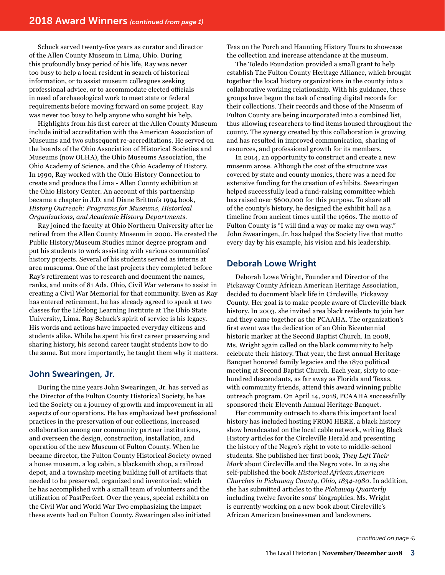Schuck served twenty-five years as curator and director of the Allen County Museum in Lima, Ohio. During this profoundly busy period of his life, Ray was never too busy to help a local resident in search of historical information, or to assist museum colleagues seeking professional advice, or to accommodate elected officials in need of archaeological work to meet state or federal requirements before moving forward on some project. Ray was never too busy to help anyone who sought his help.

Highlights from his first career at the Allen County Museum include initial accreditation with the American Association of Museums and two subsequent re-accreditations. He served on the boards of the Ohio Association of Historical Societies and Museums (now OLHA), the Ohio Museums Association, the Ohio Academy of Science, and the Ohio Academy of History. In 1990, Ray worked with the Ohio History Connection to create and produce the Lima - Allen County exhibition at the Ohio History Center. An account of this partnership became a chapter in J.D. and Diane Britton's 1994 book, *History Outreach: Programs for Museums, Historical Organizations, and Academic History Departments.* 

Ray joined the faculty at Ohio Northern University after he retired from the Allen County Museum in 2000. He created the Public History/Museum Studies minor degree program and put his students to work assisting with various communities' history projects. Several of his students served as interns at area museums. One of the last projects they completed before Ray's retirement was to research and document the names, ranks, and units of 81 Ada, Ohio, Civil War veterans to assist in creating a Civil War Memorial for that community. Even as Ray has entered retirement, he has already agreed to speak at two classes for the Lifelong Learning Institute at The Ohio State University, Lima. Ray Schuck's spirit of service is his legacy. His words and actions have impacted everyday citizens and students alike. While he spent his first career preserving and sharing history, his second career taught students how to do the same. But more importantly, he taught them why it matters.

## John Swearingen, Jr.

During the nine years John Swearingen, Jr. has served as the Director of the Fulton County Historical Society, he has led the Society on a journey of growth and improvement in all aspects of our operations. He has emphasized best professional practices in the preservation of our collections, increased collaboration among our community partner institutions, and overseen the design, construction, installation, and operation of the new Museum of Fulton County. When he became director, the Fulton County Historical Society owned a house museum, a log cabin, a blacksmith shop, a railroad depot, and a township meeting building full of artifacts that needed to be preserved, organized and inventoried; which he has accomplished with a small team of volunteers and the utilization of PastPerfect. Over the years, special exhibits on the Civil War and World War Two emphasizing the impact these events had on Fulton County. Swearingen also initiated

Teas on the Porch and Haunting History Tours to showcase the collection and increase attendance at the museum.

The Toledo Foundation provided a small grant to help establish The Fulton County Heritage Alliance, which brought together the local history organizations in the county into a collaborative working relationship. With his guidance, these groups have begun the task of creating digital records for their collections. Their records and those of the Museum of Fulton County are being incorporated into a combined list, thus allowing researchers to find items housed throughout the county. The synergy created by this collaboration is growing and has resulted in improved communication, sharing of resources, and professional growth for its members.

In 2014, an opportunity to construct and create a new museum arose. Although the cost of the structure was covered by state and county monies, there was a need for extensive funding for the creation of exhibits. Swearingen helped successfully lead a fund-raising committee which has raised over \$600,000 for this purpose. To share all of the county's history, he designed the exhibit hall as a timeline from ancient times until the 1960s. The motto of Fulton County is "I will find a way or make my own way." John Swearingen, Jr. has helped the Society live that motto every day by his example, his vision and his leadership.

## Deborah Lowe Wright

Deborah Lowe Wright, Founder and Director of the Pickaway County African American Heritage Association, decided to document black life in Circleville, Pickaway County. Her goal is to make people aware of Circleville black history. In 2003, she invited area black residents to join her and they came together as the PCAAHA. The organization's first event was the dedication of an Ohio Bicentennial historic marker at the Second Baptist Church. In 2008, Ms. Wright again called on the black community to help celebrate their history. That year, the first annual Heritage Banquet honored family legacies and the 1870 political meeting at Second Baptist Church. Each year, sixty to onehundred descendants, as far away as Florida and Texas, with community friends, attend this award winning public outreach program. On April 14, 2018, PCAAHA successfully sponsored their Eleventh Annual Heritage Banquet.

Her community outreach to share this important local history has included hosting FROM HERE, a black history show broadcasted on the local cable network, writing Black History articles for the Circleville Herald and presenting the history of the Negro's right to vote to middle-school students. She published her first book, *They Left Their Mark* about Circleville and the Negro vote. In 2015 she self-published the book *Historical African American Churches in Pickaway County, Ohio, 1834-1980*. In addition, she has submitted articles to the *Pickaway Quarterly*  including twelve favorite sons' biographies. Ms. Wright is currently working on a new book about Circleville's African American businessmen and landowners.

*(continued on page 4)*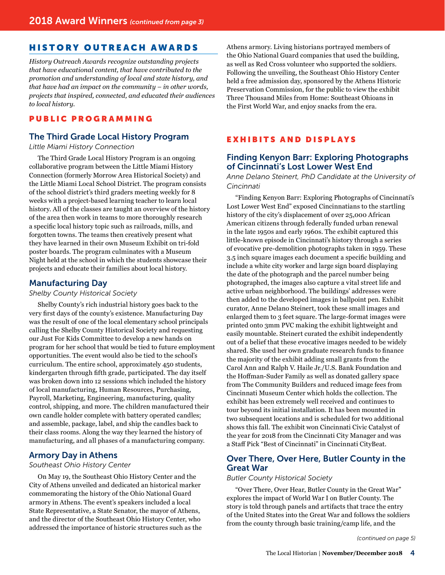# HISTORY OUTREACH AWARDS

*History Outreach Awards recognize outstanding projects that have educational content, that have contributed to the promotion and understanding of local and state history, and that have had an impact on the community – in other words, projects that inspired, connected, and educated their audiences to local history.*

## PUBLIC PROGRAMMING

## The Third Grade Local History Program

*Little Miami History Connection*

The Third Grade Local History Program is an ongoing collaborative program between the Little Miami History Connection (formerly Morrow Area Historical Society) and the Little Miami Local School District. The program consists of the school district's third graders meeting weekly for 8 weeks with a project-based learning teacher to learn local history. All of the classes are taught an overview of the history of the area then work in teams to more thoroughly research a specific local history topic such as railroads, mills, and forgotten towns. The teams then creatively present what they have learned in their own Museum Exhibit on tri-fold poster boards. The program culminates with a Museum Night held at the school in which the students showcase their projects and educate their families about local history.

## Manufacturing Day

*Shelby County Historical Society*

Shelby County's rich industrial history goes back to the very first days of the county's existence. Manufacturing Day was the result of one of the local elementary school principals calling the Shelby County Historical Society and requesting our Just For Kids Committee to develop a new hands on program for her school that would be tied to future employment opportunities. The event would also be tied to the school's curriculum. The entire school, approximately 450 students, kindergarten through fifth grade, participated. The day itself was broken down into 12 sessions which included the history of local manufacturing, Human Resources, Purchasing, Payroll, Marketing, Engineering, manufacturing, quality control, shipping, and more. The children manufactured their own candle holder complete with battery operated candles; and assemble, package, label, and ship the candles back to their class rooms. Along the way they learned the history of manufacturing, and all phases of a manufacturing company.

## Armory Day in Athens

*Southeast Ohio History Center* 

On May 19, the Southeast Ohio History Center and the City of Athens unveiled and dedicated an historical marker commemorating the history of the Ohio National Guard armory in Athens. The event's speakers included a local State Representative, a State Senator, the mayor of Athens, and the director of the Southeast Ohio History Center, who addressed the importance of historic structures such as the Athens armory. Living historians portrayed members of the Ohio National Guard companies that used the building, as well as Red Cross volunteer who supported the soldiers. Following the unveiling, the Southeast Ohio History Center held a free admission day, sponsored by the Athens Historic Preservation Commission, for the public to view the exhibit Three Thousand Miles from Home: Southeast Ohioans in the First World War, and enjoy snacks from the era.

## **EXHIBITS AND DISPLAYS**

## Finding Kenyon Barr: Exploring Photographs of Cincinnati's Lost Lower West End

*Anne Delano Steinert, PhD Candidate at the University of Cincinnati* 

"Finding Kenyon Barr: Exploring Photographs of Cincinnati's Lost Lower West End" exposed Cincinnatians to the startling history of the city's displacement of over 25,000 African American citizens through federally funded urban renewal in the late 1950s and early 1960s. The exhibit captured this little-known episode in Cincinnati's history through a series of evocative pre-demolition photographs taken in 1959. These 3.5 inch square images each document a specific building and include a white city worker and large sign board displaying the date of the photograph and the parcel number being photographed, the images also capture a vital street life and active urban neighborhood. The buildings' addresses were then added to the developed images in ballpoint pen. Exhibit curator, Anne Delano Steinert, took these small images and enlarged them to 3 feet square. The large-format images were printed onto 3mm PVC making the exhibit lightweight and easily mountable. Steinert curated the exhibit independently out of a belief that these evocative images needed to be widely shared. She used her own graduate research funds to finance the majority of the exhibit adding small grants from the Carol Ann and Ralph V. Haile Jr./U.S. Bank Foundation and the Hoffman-Suder Family as well as donated gallery space from The Community Builders and reduced image fees from Cincinnati Museum Center which holds the collection. The exhibit has been extremely well received and continues to tour beyond its initial installation. It has been mounted in two subsequent locations and is scheduled for two additional shows this fall. The exhibit won Cincinnati Civic Catalyst of the year for 2018 from the Cincinnati City Manager and was a Staff Pick "Best of Cincinnati" in Cincinnati CityBeat.

## Over There, Over Here, Butler County in the Great War

#### *Butler County Historical Society*

"Over There, Over Hear, Butler County in the Great War" explores the impact of World War I on Butler County. The story is told through panels and artifacts that trace the entry of the United States into the Great War and follows the soldiers from the county through basic training/camp life, and the

*(continued on page 5)*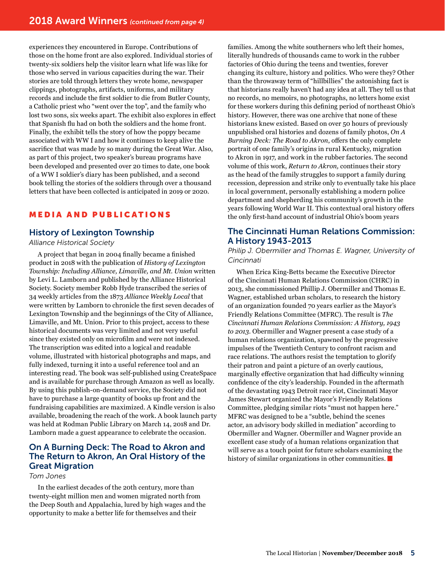experiences they encountered in Europe. Contributions of those on the home front are also explored. Individual stories of twenty-six soldiers help the visitor learn what life was like for those who served in various capacities during the war. Their stories are told through letters they wrote home, newspaper clippings, photographs, artifacts, uniforms, and military records and include the first soldier to die from Butler County, a Catholic priest who "went over the top", and the family who lost two sons, six weeks apart. The exhibit also explores in effect that Spanish flu had on both the soldiers and the home front. Finally, the exhibit tells the story of how the poppy became associated with WW I and how it continues to keep alive the sacrifice that was made by so many during the Great War. Also, as part of this project, two speaker's bureau programs have been developed and presented over 20 times to date, one book of a WW I soldier's diary has been published, and a second book telling the stories of the soldiers through over a thousand letters that have been collected is anticipated in 2019 or 2020.

# **MEDIA AND PUBLICATIONS**

## History of Lexington Township

*Alliance Historical Society* 

A project that began in 2004 finally became a finished product in 2018 with the publication of *History of Lexington Township: Including Alliance, Limaville, and Mt. Union* written by Levi L. Lamborn and published by the Alliance Historical Society. Society member Robb Hyde transcribed the series of 34 weekly articles from the 1873 *Alliance Weekly Local* that were written by Lamborn to chronicle the first seven decades of Lexington Township and the beginnings of the City of Alliance, Limaville, and Mt. Union. Prior to this project, access to these historical documents was very limited and not very useful since they existed only on microfilm and were not indexed. The transcription was edited into a logical and readable volume, illustrated with historical photographs and maps, and fully indexed, turning it into a useful reference tool and an interesting read. The book was self-published using CreateSpace and is available for purchase through Amazon as well as locally. By using this publish-on-demand service, the Society did not have to purchase a large quantity of books up front and the fundraising capabilities are maximized. A Kindle version is also available, broadening the reach of the work. A book launch party was held at Rodman Public Library on March 14, 2018 and Dr. Lamborn made a guest appearance to celebrate the occasion.

# On A Burning Deck: The Road to Akron and The Return to Akron, An Oral History of the Great Migration

#### *Tom Jones*

In the earliest decades of the 20th century, more than twenty-eight million men and women migrated north from the Deep South and Appalachia, lured by high wages and the opportunity to make a better life for themselves and their

families. Among the white southerners who left their homes, literally hundreds of thousands came to work in the rubber factories of Ohio during the teens and twenties, forever changing its culture, history and politics. Who were they? Other than the throwaway term of "hillbillies" the astonishing fact is that historians really haven't had any idea at all. They tell us that no records, no memoirs, no photographs, no letters home exist for these workers during this defining period of northeast Ohio's history. However, there was one archive that none of these historians knew existed. Based on over 50 hours of previously unpublished oral histories and dozens of family photos, *On A Burning Deck: The Road to Akron*, offers the only complete portrait of one family's origins in rural Kentucky, migration to Akron in 1917, and work in the rubber factories. The second volume of this work, *Return to Akron,* continues their story as the head of the family struggles to support a family during recession, depression and strike only to eventually take his place in local government, personally establishing a modern police department and shepherding his community's growth in the years following World War II. This contextual oral history offers the only first-hand account of industrial Ohio's boom years

# The Cincinnati Human Relations Commission: A History 1943-2013

*Philip J. Obermiller and Thomas E. Wagner, University of Cincinnati* 

When Erica King-Betts became the Executive Director of the Cincinnati Human Relations Commission (CHRC) in 2013, she commissioned Phillip J. Obermiller and Thomas E. Wagner, established urban scholars, to research the history of an organization founded 70 years earlier as the Mayor's Friendly Relations Committee (MFRC). The result is *The Cincinnati Human Relations Commission: A History, 1943 to 2013*. Obermiller and Wagner present a case study of a human relations organization, spawned by the progressive impulses of the Twentieth Century to confront racism and race relations. The authors resist the temptation to glorify their patron and paint a picture of an overly cautious, marginally effective organization that had difficulty winning confidence of the city's leadership. Founded in the aftermath of the devastating 1943 Detroit race riot, Cincinnati Mayor James Stewart organized the Mayor's Friendly Relations Committee, pledging similar riots "must not happen here." MFRC was designed to be a "subtle, behind the scenes actor, an advisory body skilled in mediation" according to Obermiller and Wagner. Obermiller and Wagner provide an excellent case study of a human relations organization that will serve as a touch point for future scholars examining the history of similar organizations in other communities.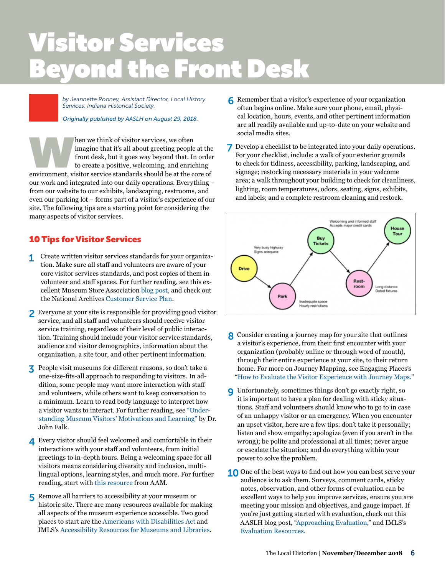# Visitor Services Beyond the Front Desk **text block** starts here under the starts here under the starts  $\mathbf{r}$

*by Jeannette Rooney, Assistant Director, Local History Services, Indiana Historical Society.* 

*[Originally published by AASLH on August 29, 2018.](http://aaslh.org/fsa-tips-visitor-services/)* 

hen we think of visitor services, we often<br>
imagine that it's all about greeting people at the<br>
front desk, but it goes way beyond that. In order<br>
to create a positive, welcoming, and enriching<br>
environment, visitor servic imagine that it's all about greeting people at the front desk, but it goes way beyond that. In order to create a positive, welcoming, and enriching our work and integrated into our daily operations. Everything – from our website to our exhibits, landscaping, restrooms, and even our parking lot – forms part of a visitor's experience of our site. The following tips are a starting point for considering the many aspects of visitor services.

# 10 Tips for Visitor Services

- 1 Create written visitor services standards for your organization. Make sure all staff and volunteers are aware of your core visitor services standards, and post copies of them in volunteer and staff spaces. For further reading, see this excellent Museum Store Association [blog post,](https://www.museumstoreassociation.org/2016/10/visitor-service-standards-go-for-100-percent/) and check out the National Archives [Customer Service Plan.](https://www.archives.gov/about/customer-service/standards.html)
- 2 Everyone at your site is responsible for providing good visitor service, and all staff and volunteers should receive visitor service training, regardless of their level of public interaction. Training should include your visitor service standards, audience and visitor demographics, information about the organization, a site tour, and other pertinent information.
- 3 People visit museums for different reasons, so don't take a one-size-fits-all approach to responding to visitors. In addition, some people may want more interaction with staff and volunteers, while others want to keep conversation to a minimum. Learn to read body language to interpret how a visitor wants to interact. For further reading, see ["Under](https://slks.dk/fileadmin/user_upload/dokumenter/KS/institutioner/museer/Indsatsomraader/Brugerundersoegelse/Artikler/John_Falk_Understanding_museum_visitors__motivations_and_learning.pdf)[standing Museum Visitors' Motivations and Learning"](https://slks.dk/fileadmin/user_upload/dokumenter/KS/institutioner/museer/Indsatsomraader/Brugerundersoegelse/Artikler/John_Falk_Understanding_museum_visitors__motivations_and_learning.pdf) by Dr. John Falk.
- 4 Every visitor should feel welcomed and comfortable in their interactions with your staff and volunteers, from initial greetings to in-depth tours. Being a welcoming space for all visitors means considering diversity and inclusion, multilingual options, learning styles, and much more. For further reading, start with [this resource](https://www.aam-us.org/programs/resource-library/diversity-equity-accessibility-and-inclusion-resources/) from AAM.
- 5 Remove all barriers to accessibility at your museum or historic site. There are many resources available for making all aspects of the museum experience accessible. Two good places to start are the [Americans with Disabilities Act](https://www.ada.gov/) and IMLS's [Accessibility Resources for Museums and Libraries.](https://www.imls.gov/issues/national-issues-priorities/accessibility-resources-museums-and-libraries)
- 6 Remember that a visitor's experience of your organization often begins online. Make sure your phone, email, physical location, hours, events, and other pertinent information are all readily available and up-to-date on your website and social media sites.
- 7 Develop a checklist to be integrated into your daily operations. For your checklist, include: a walk of your exterior grounds to check for tidiness, accessibility, parking, landscaping, and signage; restocking necessary materials in your welcome area; a walk throughout your building to check for cleanliness, lighting, room temperatures, odors, seating, signs, exhibits, and labels; and a complete restroom cleaning and restock.



- 8 Consider creating a journey map for your site that outlines a visitor's experience, from their first encounter with your organization (probably online or through word of mouth), through their entire experience at your site, to their return home. For more on Journey Mapping, see Engaging Places's ["How to Evaluate the Visitor Experience with Journey Maps.](https://engagingplaces.net/2016/07/26/how-to-evaluate-the-visitor-experience-with-journey-maps/)"
- 9 Unfortunately, sometimes things don't go exactly right, so it is important to have a plan for dealing with sticky situations. Staff and volunteers should know who to go to in case of an unhappy visitor or an emergency. When you encounter an upset visitor, here are a few tips: don't take it personally; listen and show empathy; apologize (even if you aren't in the wrong); be polite and professional at all times; never argue or escalate the situation; and do everything within your power to solve the problem.
- 10 One of the best ways to find out how you can best serve your audience is to ask them. Surveys, comment cards, sticky notes, observation, and other forms of evaluation can be excellent ways to help you improve services, ensure you are meeting your mission and objectives, and gauge impact. If you're just getting started with evaluation, check out this AASLH blog post, ["Approaching Evaluation](https://aaslh.org/approaching-evaluation/)," and IMLS's [Evaluation Resources](https://www.imls.gov/research-evaluation/evaluation-resources).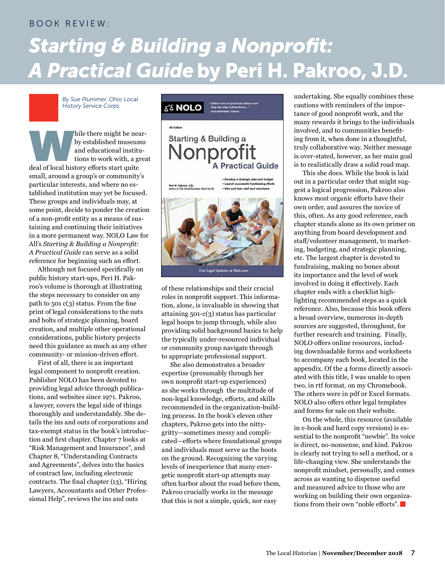## BOOK REVIEW:

# *Starting & Building a Nonprofit: A Practical Guide* by Peri H. Pakroo, J.D.

*By Sue Plummer, Ohio Local History Service Corps*

hile there might be near-<br>by established museums<br>and educational institu-<br>tions to work with, a great<br>deal of local history efforts start quite by established museums and educational institutions to work with, a great small, around a group's or community's particular interests, and where no established institution may yet be focused. These groups and individuals may, at some point, decide to ponder the creation of a non-profit entity as a means of sustaining and continuing their initiatives in a more permanent way. NOLO Law for All's *Starting & Building a Nonprofit: A Practical Guide* can serve as a solid reference for beginning such an effort.

Although not focused specifically on public history start-ups, Peri H. Pakroo's volume is thorough at illustrating the steps necessary to consider on any path to 501 c(3) status. From the fine print of legal considerations to the nuts and bolts of strategic planning, board creation, and multiple other operational considerations, public history projects need this guidance as much as any other community- or mission-driven effort.

First of all, there is an important legal component to nonprofit creation. Publisher NOLO has been devoted to providing legal advice through publications, and websites since 1971. Pakroo, a lawyer, covers the legal side of things thoroughly and understandably. She details the ins and outs of corporations and tax-exempt status in the book's introduction and first chapter. Chapter 7 looks at "Risk Management and Insurance", and Chapter 8, "Understanding Contracts and Agreements", delves into the basics of contract law, including electronic contracts. The final chapter (13), "Hiring Lawyers, Accountants and Other Professional Help", reviews the ins and outs



of these relationships and their crucial roles in nonprofit support. This information, alone, is invaluable in showing that attaining 501-c(3) status has particular legal hoops to jump through, while also providing solid background basics to help the typically under-resourced individual or community group navigate through to appropriate professional support.

She also demonstrates a broader expertise (presumably through her own nonprofit start-up experiences) as she works through the multitude of non-legal knowledge, efforts, and skills recommended in the organization-building process. In the book's eleven other chapters, Pakroo gets into the nittygritty—sometimes messy and complicated—efforts where foundational groups and individuals must serve as the boots on the ground. Recognizing the varying levels of inexperience that many energetic nonprofit start-up attempts may often harbor about the road before them, Pakroo crucially works in the message that this is not a simple, quick, nor easy

undertaking. She equally combines these cautions with reminders of the importance of good nonprofit work, and the many rewards it brings to the individuals involved, and to communities benefiting from it, when done in a thoughtful, truly collaborative way. Neither message is over-stated, however, as her main goal is to realistically draw a solid road map.

This she does. While the book is laid out in a particular order that might suggest a logical progression, Pakroo also knows most organic efforts have their own order, and assures the novice of this, often. As any good reference, each chapter stands alone as its own primer on anything from board development and staff/volunteer management, to marketing, budgeting, and strategic planning, etc. The largest chapter is devoted to fundraising, making no bones about its importance and the level of work involved in doing it effectively. Each chapter ends with a checklist highlighting recommended steps as a quick reference. Also, because this book offers a broad overview, numerous in-depth sources are suggested, throughout, for further research and training. Finally, NOLO offers online resources, including downloadable forms and worksheets to accompany each book, located in the appendix. Of the 4 forms directly associated with this title, I was unable to open two, in rtf format, on my Chromebook. The others were in pdf or Excel formats. NOLO also offers other legal templates and forms for sale on their website.

On the whole, this resource (available in e-book and hard copy versions) is essential to the nonprofit "newbie". Its voice is direct, no-nonsense, and kind. Pakroo is clearly not trying to sell a method, or a life-changing view. She understands the nonprofit mindset, personally, and comes across as wanting to dispense useful and measured advice to those who are working on building their own organizations from their own "noble efforts".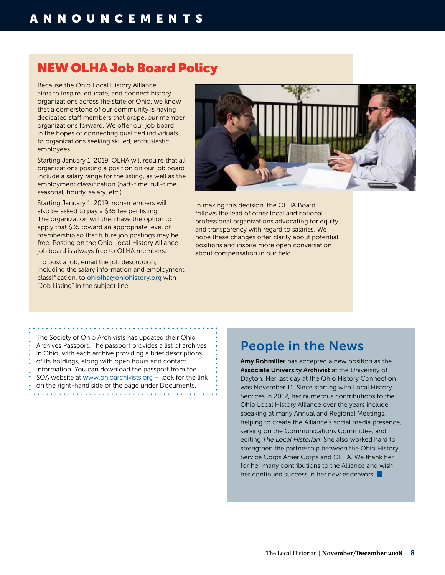# NEW OLHA Job Board Policy

Because the Ohio Local History Alliance aims to inspire, educate, and connect history organizations across the state of Ohio, we know that a cornerstone of our community is having dedicated staff members that propel our member organizations forward. We offer our job board in the hopes of connecting qualified individuals to organizations seeking skilled, enthusiastic employees.

Starting January 1, 2019, OLHA will require that all organizations posting a position on our job board include a salary range for the listing, as well as the employment classification (part-time, full-time, seasonal, hourly, salary, etc.)

Starting January 1, 2019, non-members will also be asked to pay a \$35 fee per listing. The organization will then have the option to apply that \$35 toward an appropriate level of membership so that future job postings may be free. Posting on the Ohio Local History Alliance job board is always free to OLHA members.

 To post a job, email the job description, including the salary information and employment classification, to [ohiolha@ohiohistory.org](mailto:ohiolha@ohiohistory.org) with "Job Listing" in the subject line.



In making this decision, the OLHA Board follows the lead of other local and national professional organizations advocating for equity and transparency with regard to salaries. We hope these changes offer clarity about potential positions and inspire more open conversation about compensation in our field.

The Society of Ohio Archivists has updated their Ohio Archives Passport. The passport provides a list of archives in Ohio, with each archive providing a brief descriptions of its holdings, along with open hours and contact information. You can download the passport from the SOA website at [www.ohioarchivists.org](http://www.ohioarchivists.org) – look for the link on the right-hand side of the page under Documents.

# People in the News

Amy Rohmiller has accepted a new position as the Associate University Archivist at the University of Dayton. Her last day at the Ohio History Connection was November 11. Since starting with Local History Services in 2012, her numerous contributions to the Ohio Local History Alliance over the years include speaking at many Annual and Regional Meetings, helping to create the Alliance's social media presence, serving on the Communications Committee, and editing *The Local Historian*. She also worked hard to strengthen the partnership between the Ohio History Service Corps AmeriCorps and OLHA. We thank her for her many contributions to the Alliance and wish her continued success in her new endeavors.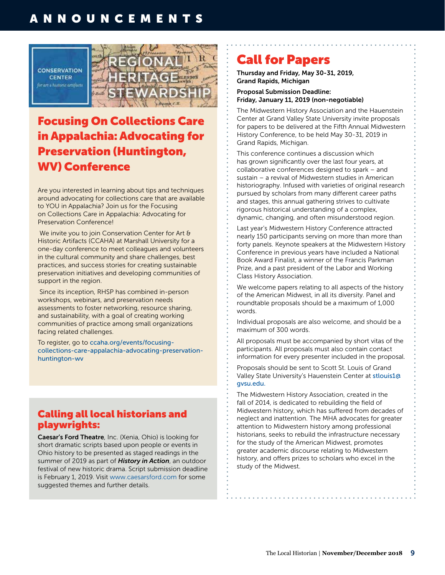# ANNOUNCEMENTS



# Focusing On Collections Care in Appalachia: Advocating for Preservation (Huntington, WV) Conference

Are you interested in learning about tips and techniques around advocating for collections care that are available to YOU in Appalachia? Join us for the Focusing on Collections Care in Appalachia: Advocating for Preservation Conference!

We invite you to join Conservation Center for Art & Historic Artifacts (CCAHA) at Marshall University for a one-day conference to meet colleagues and volunteers in the cultural community and share challenges, best practices, and success stories for creating sustainable preservation initiatives and developing communities of support in the region.

 Since its inception, RHSP has combined in-person workshops, webinars, and preservation needs assessments to foster networking, resource sharing, and sustainability, with a goal of creating working communities of practice among small organizations facing related challenges.

To register, go to [ccaha.org/events/focusing](https://ccaha.org/events/focusing-collections-care-appalachia-advocating-preservation-huntington-wv)[collections-care-appalachia-advocating-preservation](https://ccaha.org/events/focusing-collections-care-appalachia-advocating-preservation-huntington-wv)[huntington-wv](https://ccaha.org/events/focusing-collections-care-appalachia-advocating-preservation-huntington-wv) 

# Calling all local historians and playwrights:

Caesar's Ford Theatre, Inc. (Xenia, Ohio) is looking for short dramatic scripts based upon people or events in Ohio history to be presented as staged readings in the summer of 2019 as part of *History in Action*, an outdoor festival of new historic drama. Script submission deadline is February 1, 2019. Visit [www.caesarsford.com](http://www.caesarsford.com) for some suggested themes and further details.

# Call for Papers

Thursday and Friday, May 30-31, 2019, Grand Rapids, Michigan

Proposal Submission Deadline: Friday, January 11, 2019 (non-negotiable)

The Midwestern History Association and the Hauenstein Center at Grand Valley State University invite proposals for papers to be delivered at the Fifth Annual Midwestern History Conference, to be held May 30-31, 2019 in Grand Rapids, Michigan.

This conference continues a discussion which has grown significantly over the last four years, at collaborative conferences designed to spark – and sustain – a revival of Midwestern studies in American historiography. Infused with varieties of original research pursued by scholars from many different career paths and stages, this annual gathering strives to cultivate rigorous historical understanding of a complex, dynamic, changing, and often misunderstood region.

Last year's Midwestern History Conference attracted nearly 150 participants serving on more than more than forty panels. Keynote speakers at the Midwestern History Conference in previous years have included a National Book Award Finalist, a winner of the Francis Parkman Prize, and a past president of the Labor and Working Class History Association.

We welcome papers relating to all aspects of the history of the American Midwest, in all its diversity. Panel and roundtable proposals should be a maximum of 1,000 words.

Individual proposals are also welcome, and should be a maximum of 300 words.

All proposals must be accompanied by short vitas of the participants. All proposals must also contain contact information for every presenter included in the proposal.

Proposals should be sent to Scott St. Louis of Grand Valley State University's Hauenstein Center at [stlouis1@](mailto:stlouis1@gvsu.edu) [gvsu.edu](mailto:stlouis1@gvsu.edu).

The Midwestern History Association, created in the fall of 2014, is dedicated to rebuilding the field of Midwestern history, which has suffered from decades of neglect and inattention. The MHA advocates for greater attention to Midwestern history among professional historians, seeks to rebuild the infrastructure necessary for the study of the American Midwest, promotes greater academic discourse relating to Midwestern history, and offers prizes to scholars who excel in the study of the Midwest.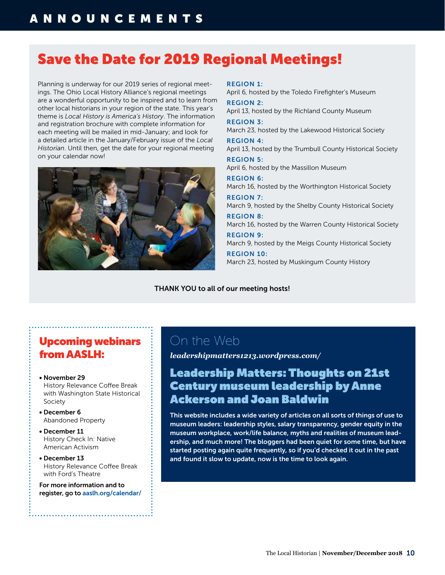# Save the Date for 2019 Regional Meetings!

Planning is underway for our 2019 series of regional meetings. The Ohio Local History Alliance's regional meetings are a wonderful opportunity to be inspired and to learn from other local historians in your region of the state. This year's theme is *Local History is America's History*. The information and registration brochure with complete information for each meeting will be mailed in mid-January; and look for a detailed article in the January/February issue of the *Local Historian*. Until then, get the date for your regional meeting on your calendar now!



#### REGION 1:

April 6, hosted by the Toledo Firefighter's Museum

REGION 2: April 13, hosted by the Richland County Museum REGION 3:

March 23, hosted by the Lakewood Historical Society REGION 4:

April 13, hosted by the Trumbull County Historical Society

REGION 5: April 6, hosted by the Massillon Museum

REGION 6: March 16, hosted by the Worthington Historical Society

REGION 7: March 9, hosted by the Shelby County Historical Society REGION 8:

March 16, hosted by the Warren County Historical Society

REGION 9: March 9, hosted by the Meigs County Historical Society

REGION 10: March 23, hosted by Muskingum County History

THANK YOU to all of our meeting hosts!

# Upcoming webinars from AASLH:

- November 29 History Relevance Coffee Break with Washington State Historical Society
- December 6 Abandoned Property
- December 11 History Check In: Native American Activism
- December 13 History Relevance Coffee Break with Ford's Theatre

For more information and to register, go to [aaslh.org/calendar/](https://aaslh.org/calendar/)

# On the Web

*[leadershipmatters1213.wordpress.com/](https://leadershipmatters1213.wordpress.com/)* 

# Leadership Matters: Thoughts on 21st Century museum leadership by Anne Ackerson and Joan Baldwin

This website includes a wide variety of articles on all sorts of things of use to museum leaders: leadership styles, salary transparency, gender equity in the museum workplace, work/life balance, myths and realities of museum leadership, and much more! The bloggers had been quiet for some time, but have started posting again quite frequently, so if you'd checked it out in the past and found it slow to update, now is the time to look again.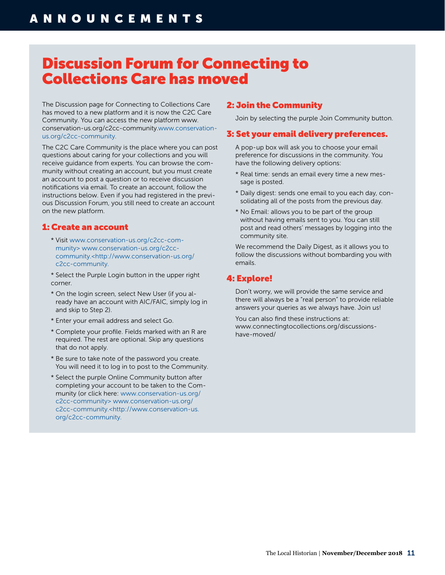# Discussion Forum for Connecting to Collections Care has moved

The Discussion page for Connecting to Collections Care has moved to a new platform and it is now the C2C Care Community. You can access the new platform [www.](http://www.conservation-us.org/c2cc-community) [conservation-us.org/c2cc-community.www.conservation](http://www.conservation-us.org/c2cc-community)[us.org/c2cc-community](http://www.conservation-us.org/c2cc-community).

The C2C Care Community is the place where you can post questions about caring for your collections and you will receive guidance from experts. You can browse the community without creating an account, but you must create an account to post a question or to receive discussion notifications via email. To create an account, follow the instructions below. Even if you had registered in the previous Discussion Forum, you still need to create an account on the new platform.

## 1: Create an account

- \* Visit [www.conservation-us.org/c2cc-com](http://www.conservation-us.org/c2cc-community)[munity](http://www.conservation-us.org/c2cc-community)> [www.conservation-us.org/c2cc](http://www.conservation-us.org/c2cc-community)[community.<http://www.conservation-us.org/](http://www.conservation-us.org/c2cc-community) [c2cc-community.](http://www.conservation-us.org/c2cc-community)
- \* Select the Purple Login button in the upper right corner.
- \* On the login screen, select New User (if you already have an account with AIC/FAIC, simply log in and skip to Step 2).
- \* Enter your email address and select Go.
- \* Complete your profile. Fields marked with an R are required. The rest are optional. Skip any questions that do not apply.
- \* Be sure to take note of the password you create. You will need it to log in to post to the Community.
- \* Select the purple Online Community button after completing your account to be taken to the Community (or click here: [www.conservation-us.org/](http://www.conservation-us.org/c2cc-community) [c2cc-community](http://www.conservation-us.org/c2cc-community)> [www.conservation-us.org/](http://www.conservation-us.org/c2cc-community) [c2cc-community.<http://www.conservation-us.](http://www.conservation-us.org/c2cc-community) [org/c2cc-community](http://www.conservation-us.org/c2cc-community).

## 2: Join the Community

Join by selecting the purple Join Community button.

## 3: Set your email delivery preferences.

A pop-up box will ask you to choose your email preference for discussions in the community. You have the following delivery options:

- \* Real time: sends an email every time a new message is posted.
- \* Daily digest: sends one email to you each day, consolidating all of the posts from the previous day.
- \* No Email: allows you to be part of the group without having emails sent to you. You can still post and read others' messages by logging into the community site.

We recommend the Daily Digest, as it allows you to follow the discussions without bombarding you with emails.

## 4: Explore!

Don't worry, we will provide the same service and there will always be a "real person" to provide reliable answers your queries as we always have. Join us!

You can also find these instructions at: [www.connectingtocollections.org/discussions](https://www.connectingtocollections.org/discussions-have-moved/)[have-moved/](https://www.connectingtocollections.org/discussions-have-moved/)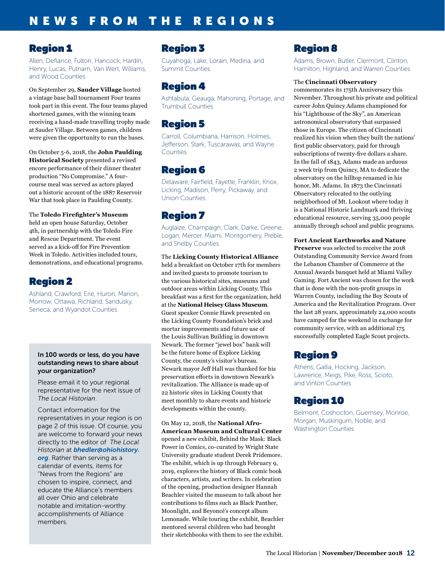# Region 1

Allen, Defiance, Fulton, Hancock, Hardin, Henry, Lucas, Putnam, Van Wert, Williams, and Wood Counties

On September 29, **Sauder Village** hosted a vintage base ball tournament Four teams took part in this event. The four teams played shortened games, with the winning team receiving a hand-made travelling trophy made at Sauder Village. Between games, children were given the opportunity to run the bases.

On October 5-6, 2018, the **John Paulding Historical Society** presented a revised encore performance of their dinner theater production "No Compromise." A fourcourse meal was served as actors played out a historic account of the 1887 Reservoir War that took place in Paulding County.

The **Toledo Firefighter's Museum** held an open house Saturday, October 4th, in partnership with the Toledo Fire and Rescue Department. The event served as a kick-off for Fire Prevention Week in Toledo. Activities included tours, demonstrations, and educational programs.

# Region 2

Ashland, Crawford, Erie, Huron, Marion, Morrow, Ottawa, Richland, Sandusky, Seneca, and Wyandot Counties

#### In 100 words or less, do you have outstanding news to share about your organization?

Please email it to your regional representative for the next issue of *The Local Historian*.

Contact information for the representatives in your region is on page 2 of this issue. Of course, you are welcome to forward your news directly to the editor of *The Local Historian* at *[bhedler@ohiohistory.](mailto:bhedler%40ohiohistory.org?subject=) [org](mailto:bhedler%40ohiohistory.org?subject=)*. Rather than serving as a calendar of events, items for "News from the Regions" are chosen to inspire, connect, and educate the Alliance's members all over Ohio and celebrate notable and imitation-worthy accomplishments of Alliance members.

# Region 3

Cuyahoga, Lake, Lorain, Medina, and Summit Counties

# Region 4

Ashtabula, Geauga, Mahoning, Portage, and Trumbull Counties

# Region 5

Carroll, Columbiana, Harrison, Holmes, Jefferson, Stark, Tuscarawas, and Wayne Counties

# Region 6

Delaware, Fairfield, Fayette, Franklin, Knox, Licking, Madison, Perry, Pickaway, and Union Counties

# Region 7

Auglaize, Champaign, Clark, Darke, Greene, Logan, Mercer, Miami, Montgomery, Preble, and Shelby Counties

The **Licking County Historical Alliance** held a breakfast on October 17th for members and invited guests to promote tourism to the various historical sites, museums and outdoor areas within Licking County. This breakfast was a first for the organization, held at the **National Heisey Glass Museum**. Guest speaker Connie Hawk presented on the Licking County Foundation's brick and mortar improvements and future use of the Louis Sullivan Building in downtown Newark. The former "jewel box" bank will be the future home of Explore Licking County, the county's visitor's bureau. Newark mayor Jeff Hall was thanked for his preservation efforts in downtown Newark's revitalization. The Alliance is made up of 22 historic sites in Licking County that meet monthly to share events and historic developments within the county.

On May 12, 2018, the **National Afro-American Museum and Cultural Center** opened a new exhibit, Behind the Mask: Black Power in Comics, co-curated by Wright State University graduate student Derek Pridemore. The exhibit, which is up through February 9, 2019, explores the history of Black comic book characters, artists, and writers. In celebration of the opening, production designer Hannah Beachler visited the museum to talk about her contributions to films such as Black Panther, Moonlight, and Beyoncé's concept album Lemonade. While touring the exhibit, Beachler mentored several children who had brought their sketchbooks with them to see the exhibit.

# Region 8

Adams, Brown, Butler, Clermont, Clinton, Hamilton, Highland, and Warren Counties

### The **Cincinnati Observatory**

commemorates its 175th Anniversary this November. Throughout his private and political career John Quincy Adams championed for his "Lighthouse of the Sky", an American astronomical observatory that surpassed those in Europe. The citizen of Cincinnati realized his vision when they built the nations' first public observatory, paid for through subscriptions of twenty-five dollars a share. In the fall of 1843, Adams made an arduous 2 week trip from Quincy, MA to dedicate the observatory on the hilltop renamed in his honor, Mt. Adams. In 1873 the Cincinnati Observatory relocated to the outlying neighborhood of Mt. Lookout where today it is a National Historic Landmark and thriving educational resource, serving 35,000 people annually through school and public programs.

**Fort Ancient Earthworks and Nature Preserve** was selected to receive the 2018 Outstanding Community Service Award from the Lebanon Chamber of Commerce at the Annual Awards banquet held at Miami Valley Gaming. Fort Ancient was chosen for the work that is done with the non-profit groups in Warren County, including the Boy Scouts of America and the Revitalization Program. Over the last 28 years, approximately 24,000 scouts have camped for the weekend in exchange for community service, with an additional 175 successfully completed Eagle Scout projects.

# Region 9

Athens, Gallia, Hocking, Jackson, Lawrence, Meigs, Pike, Ross, Scioto, and Vinton Counties

# Region 10

Belmont, Coshocton, Guernsey, Monroe, Morgan, Muskingum, Noble, and Washington Counties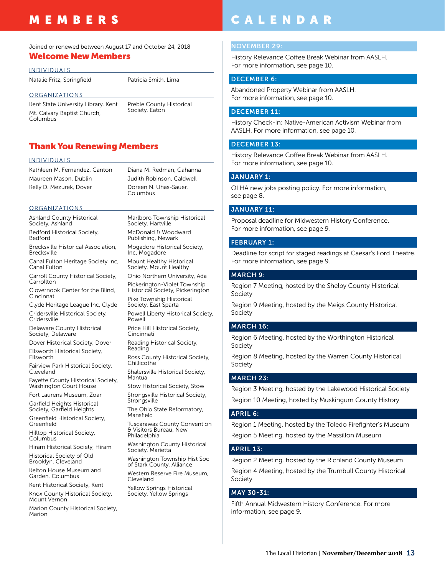# MEMBERS

## Joined or renewed between August 17 and October 24, 2018

## Welcome New Members

INDIVIDUALS

Natalie Fritz, Springfield Patricia Smith, Lima

#### ORGANIZATIONS

Kent State University Library, Kent Mt. Calvary Baptist Church, Columbus

Preble County Historical Society, Eaton

## Thank You Renewing Members

#### INDIVIDUALS

Kathleen M. Fernandez, Canton Maureen Mason, Dublin Kelly D. Mezurek, Dover

Diana M. Redman, Gahanna Judith Robinson, Caldwell Columbus

Marlboro Township Historical

#### ORGANIZATIONS

Ashland County Historical Society, Ashland Bedford Historical Society,

Bedford

Brecksville Historical Association, **Brecksville** 

Canal Fulton Heritage Society Inc, Canal Fulton

Carroll County Historical Society, **Carrollton** 

Clovernook Center for the Blind, Cincinnati

Clyde Heritage League Inc, Clyde Cridersville Historical Society, **Cridersville** 

Delaware County Historical Society, Delaware

Dover Historical Society, Dover Ellsworth Historical Society, Ellsworth

Fairview Park Historical Society, Cleveland

Fayette County Historical Society, Washington Court House

Fort Laurens Museum, Zoar Garfield Heights Historical

Society, Garfield Heights

Greenfield Historical Society, Greenfield

Hilltop Historical Society, **Columbus** 

Hiram Historical Society, Hiram Historical Society of Old

Brooklyn, Cleveland Kelton House Museum and

Garden, Columbus Kent Historical Society, Kent

Knox County Historical Society, Mount Vernon

Marion County Historical Society, Marion

Society, Hartville McDonald & Woodward Publishing, Newark Mogadore Historical Society, Inc, Mogadore Mount Healthy Historical Society, Mount Healthy Ohio Northern University, Ada Pickerington-Violet Township Historical Society, Pickerington Pike Township Historical Society, East Sparta Powell Liberty Historical Society, Powell Price Hill Historical Society, Cincinnati Reading Historical Society, Reading Ross County Historical Society, Chillicothe Shalersville Historical Society, Mantua Stow Historical Society, Stow Strongsville Historical Society, Strongsville

The Ohio State Reformatory, Mansfield

Tuscarawas County Convention & Visitors Bureau, New Philadelphia

Washington County Historical Society, Marietta

Washington Township Hist Soc of Stark County, Alliance Western Reserve Fire Museum,

Cleveland Yellow Springs Historical Society, Yellow Springs

# CALENDAR

#### NOVEMBER 29:

History Relevance Coffee Break Webinar from AASLH. For more information, see page 10.

#### DECEMBER 6:

Abandoned Property Webinar from AASLH. For more information, see page 10.

#### DECEMBER 11:

History Check-In: Native-American Activism Webinar from AASLH. For more information, see page 10.

#### DECEMBER 13:

History Relevance Coffee Break Webinar from AASLH. For more information, see page 10.

#### JANUARY 1:

OLHA new jobs posting policy. For more information, see page 8.

#### JANUARY 11:

Proposal deadline for Midwestern History Conference. For more information, see page 9.

#### FEBRUARY 1:

Deadline for script for staged readings at Caesar's Ford Theatre. For more information, see page 9.

#### MARCH 9:

Region 7 Meeting, hosted by the Shelby County Historical Society

Region 9 Meeting, hosted by the Meigs County Historical Society

#### MARCH 16:

Region 6 Meeting, hosted by the Worthington Historical Society

Region 8 Meeting, hosted by the Warren County Historical Society

#### MARCH 23:

Region 3 Meeting, hosted by the Lakewood Historical Society Region 10 Meeting, hosted by Muskingum County History

#### APRIL 6:

Region 1 Meeting, hosted by the Toledo Firefighter's Museum Region 5 Meeting, hosted by the Massillon Museum

### APRIL 13:

Region 2 Meeting, hosted by the Richland County Museum Region 4 Meeting, hosted by the Trumbull County Historical Society

#### MAY 30-31:

Fifth Annual Midwestern History Conference. For more information, see page 9.

Doreen N. Uhas-Sauer,